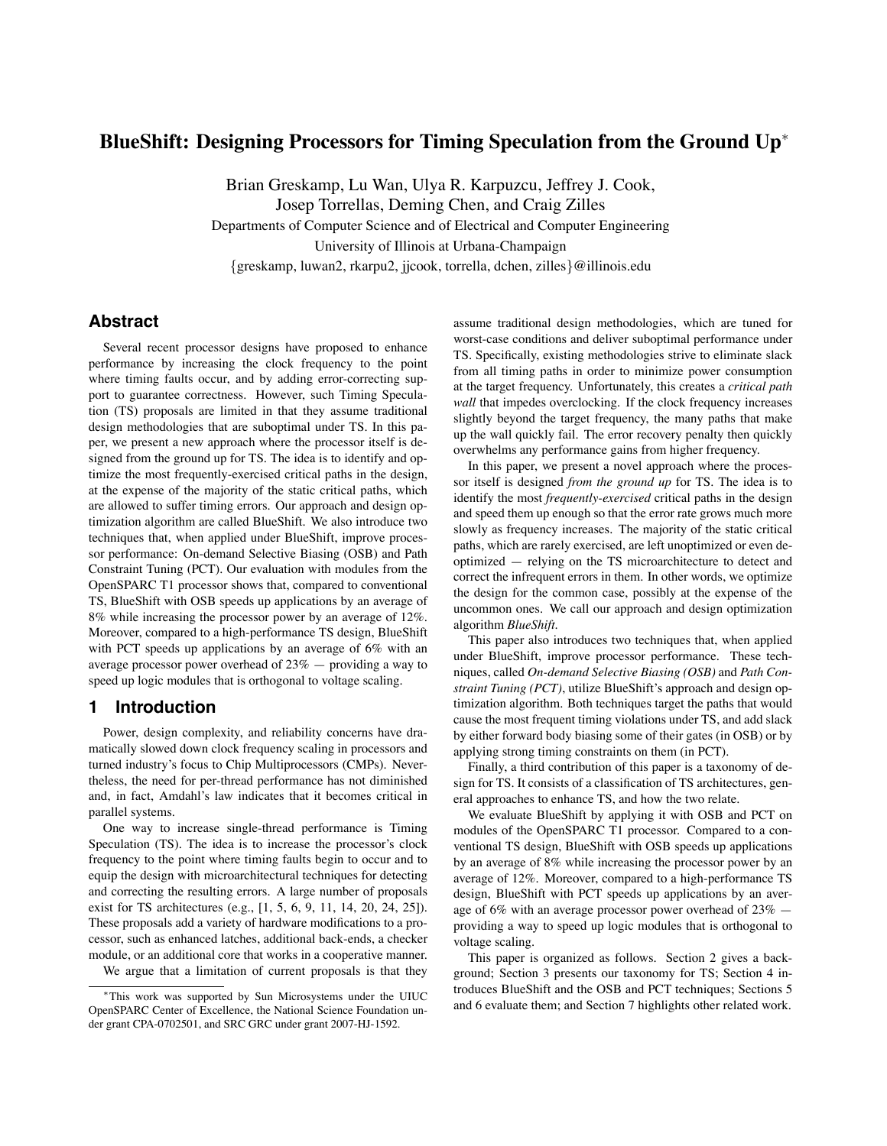# **BlueShift: Designing Processors for Timing Speculation from the Ground Up**<sup>∗</sup>

Brian Greskamp, Lu Wan, Ulya R. Karpuzcu, Jeffrey J. Cook, Josep Torrellas, Deming Chen, and Craig Zilles Departments of Computer Science and of Electrical and Computer Engineering University of Illinois at Urbana-Champaign {greskamp, luwan2, rkarpu2, jjcook, torrella, dchen, zilles}@illinois.edu

**Abstract**

Several recent processor designs have proposed to enhance performance by increasing the clock frequency to the point where timing faults occur, and by adding error-correcting support to guarantee correctness. However, such Timing Speculation (TS) proposals are limited in that they assume traditional design methodologies that are suboptimal under TS. In this paper, we present a new approach where the processor itself is designed from the ground up for TS. The idea is to identify and optimize the most frequently-exercised critical paths in the design, at the expense of the majority of the static critical paths, which are allowed to suffer timing errors. Our approach and design optimization algorithm are called BlueShift. We also introduce two techniques that, when applied under BlueShift, improve processor performance: On-demand Selective Biasing (OSB) and Path Constraint Tuning (PCT). Our evaluation with modules from the OpenSPARC T1 processor shows that, compared to conventional TS, BlueShift with OSB speeds up applications by an average of 8% while increasing the processor power by an average of 12%. Moreover, compared to a high-performance TS design, BlueShift with PCT speeds up applications by an average of 6% with an average processor power overhead of 23% — providing a way to speed up logic modules that is orthogonal to voltage scaling.

# **1 Introduction**

Power, design complexity, and reliability concerns have dramatically slowed down clock frequency scaling in processors and turned industry's focus to Chip Multiprocessors (CMPs). Nevertheless, the need for per-thread performance has not diminished and, in fact, Amdahl's law indicates that it becomes critical in parallel systems.

One way to increase single-thread performance is Timing Speculation (TS). The idea is to increase the processor's clock frequency to the point where timing faults begin to occur and to equip the design with microarchitectural techniques for detecting and correcting the resulting errors. A large number of proposals exist for TS architectures (e.g., [1, 5, 6, 9, 11, 14, 20, 24, 25]). These proposals add a variety of hardware modifications to a processor, such as enhanced latches, additional back-ends, a checker module, or an additional core that works in a cooperative manner. We argue that a limitation of current proposals is that they assume traditional design methodologies, which are tuned for worst-case conditions and deliver suboptimal performance under TS. Specifically, existing methodologies strive to eliminate slack from all timing paths in order to minimize power consumption at the target frequency. Unfortunately, this creates a *critical path wall* that impedes overclocking. If the clock frequency increases slightly beyond the target frequency, the many paths that make up the wall quickly fail. The error recovery penalty then quickly overwhelms any performance gains from higher frequency.

In this paper, we present a novel approach where the processor itself is designed *from the ground up* for TS. The idea is to identify the most *frequently-exercised* critical paths in the design and speed them up enough so that the error rate grows much more slowly as frequency increases. The majority of the static critical paths, which are rarely exercised, are left unoptimized or even deoptimized — relying on the TS microarchitecture to detect and correct the infrequent errors in them. In other words, we optimize the design for the common case, possibly at the expense of the uncommon ones. We call our approach and design optimization algorithm *BlueShift*.

This paper also introduces two techniques that, when applied under BlueShift, improve processor performance. These techniques, called *On-demand Selective Biasing (OSB)* and *Path Constraint Tuning (PCT)*, utilize BlueShift's approach and design optimization algorithm. Both techniques target the paths that would cause the most frequent timing violations under TS, and add slack by either forward body biasing some of their gates (in OSB) or by applying strong timing constraints on them (in PCT).

Finally, a third contribution of this paper is a taxonomy of design for TS. It consists of a classification of TS architectures, general approaches to enhance TS, and how the two relate.

We evaluate BlueShift by applying it with OSB and PCT on modules of the OpenSPARC T1 processor. Compared to a conventional TS design, BlueShift with OSB speeds up applications by an average of 8% while increasing the processor power by an average of 12%. Moreover, compared to a high-performance TS design, BlueShift with PCT speeds up applications by an average of 6% with an average processor power overhead of 23% providing a way to speed up logic modules that is orthogonal to voltage scaling.

This paper is organized as follows. Section 2 gives a background; Section 3 presents our taxonomy for TS; Section 4 introduces BlueShift and the OSB and PCT techniques; Sections 5 and 6 evaluate them; and Section 7 highlights other related work.

<sup>∗</sup>This work was supported by Sun Microsystems under the UIUC OpenSPARC Center of Excellence, the National Science Foundation under grant CPA-0702501, and SRC GRC under grant 2007-HJ-1592.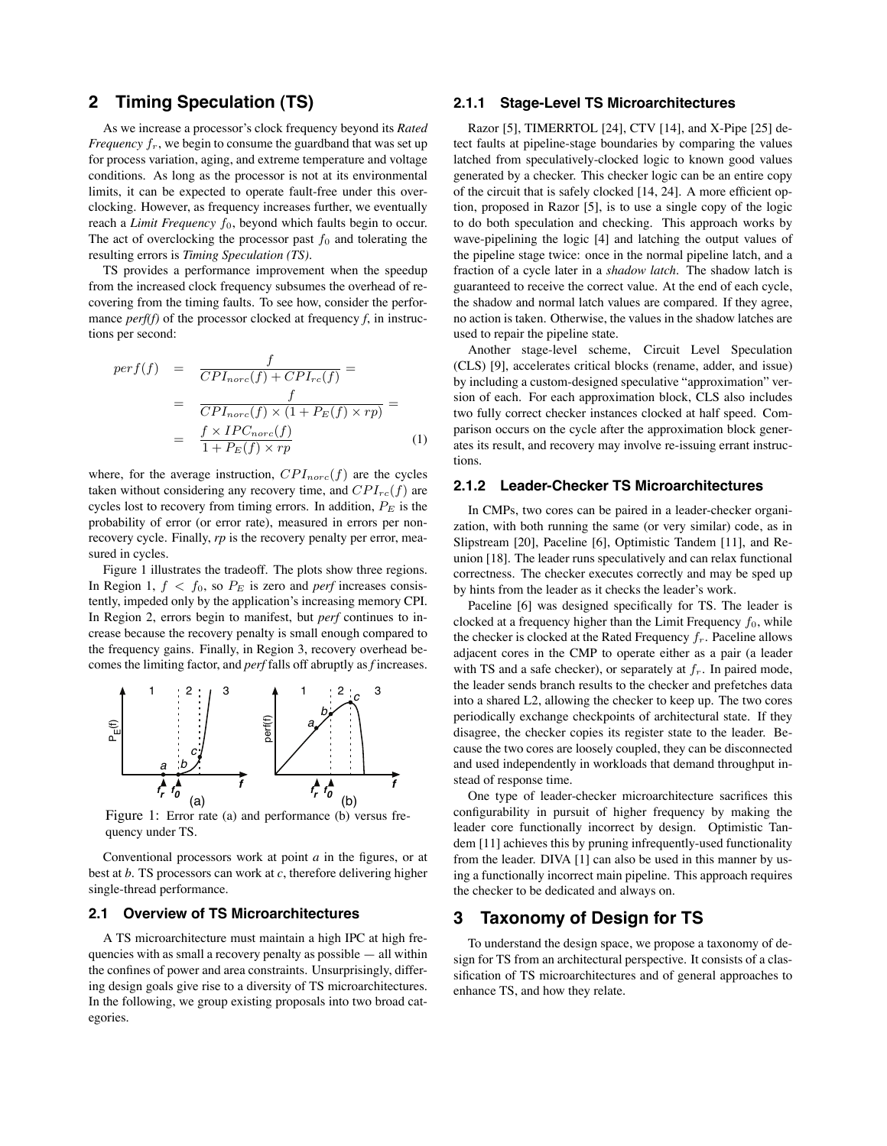# **2 Timing Speculation (TS)**

As we increase a processor's clock frequency beyond its *Rated Frequency*  $f_r$ , we begin to consume the guardband that was set up for process variation, aging, and extreme temperature and voltage conditions. As long as the processor is not at its environmental limits, it can be expected to operate fault-free under this overclocking. However, as frequency increases further, we eventually reach a *Limit Frequency*  $f_0$ , beyond which faults begin to occur. The act of overclocking the processor past  $f_0$  and tolerating the resulting errors is *Timing Speculation (TS)*.

TS provides a performance improvement when the speedup from the increased clock frequency subsumes the overhead of recovering from the timing faults. To see how, consider the performance *perf(f)* of the processor clocked at frequency *f*, in instructions per second:

$$
perf(f) = \frac{f}{CPI_{norc}(f) + CPI_{rc}(f)} =
$$
  
= 
$$
\frac{f}{CPI_{norc}(f) \times (1 + P_E(f) \times rp)} =
$$
  
= 
$$
\frac{f \times IPC_{norc}(f)}{1 + P_E(f) \times rp}
$$
 (1)

where, for the average instruction,  $CPI_{\text{norc}}(f)$  are the cycles taken without considering any recovery time, and  $CPI_{rc}(f)$  are cycles lost to recovery from timing errors. In addition,  $P_E$  is the probability of error (or error rate), measured in errors per nonrecovery cycle. Finally, *rp* is the recovery penalty per error, measured in cycles.

Figure 1 illustrates the tradeoff. The plots show three regions. In Region 1,  $f < f_0$ , so  $P_E$  is zero and *perf* increases consistently, impeded only by the application's increasing memory CPI. In Region 2, errors begin to manifest, but *perf* continues to increase because the recovery penalty is small enough compared to the frequency gains. Finally, in Region 3, recovery overhead becomes the limiting factor, and *perf* falls off abruptly as *f* increases.



Figure 1: Error rate (a) and performance (b) versus frequency under TS.

Conventional processors work at point *a* in the figures, or at best at *b*. TS processors can work at *c*, therefore delivering higher single-thread performance.

# **2.1 Overview of TS Microarchitectures**

A TS microarchitecture must maintain a high IPC at high frequencies with as small a recovery penalty as possible — all within the confines of power and area constraints. Unsurprisingly, differing design goals give rise to a diversity of TS microarchitectures. In the following, we group existing proposals into two broad categories.

#### **2.1.1 Stage-Level TS Microarchitectures**

Razor [5], TIMERRTOL [24], CTV [14], and X-Pipe [25] detect faults at pipeline-stage boundaries by comparing the values latched from speculatively-clocked logic to known good values generated by a checker. This checker logic can be an entire copy of the circuit that is safely clocked [14, 24]. A more efficient option, proposed in Razor [5], is to use a single copy of the logic to do both speculation and checking. This approach works by wave-pipelining the logic [4] and latching the output values of the pipeline stage twice: once in the normal pipeline latch, and a fraction of a cycle later in a *shadow latch*. The shadow latch is guaranteed to receive the correct value. At the end of each cycle, the shadow and normal latch values are compared. If they agree, no action is taken. Otherwise, the values in the shadow latches are used to repair the pipeline state.

Another stage-level scheme, Circuit Level Speculation (CLS) [9], accelerates critical blocks (rename, adder, and issue) by including a custom-designed speculative "approximation" version of each. For each approximation block, CLS also includes two fully correct checker instances clocked at half speed. Comparison occurs on the cycle after the approximation block generates its result, and recovery may involve re-issuing errant instructions.

## **2.1.2 Leader-Checker TS Microarchitectures**

In CMPs, two cores can be paired in a leader-checker organization, with both running the same (or very similar) code, as in Slipstream [20], Paceline [6], Optimistic Tandem [11], and Reunion [18]. The leader runs speculatively and can relax functional correctness. The checker executes correctly and may be sped up by hints from the leader as it checks the leader's work.

Paceline [6] was designed specifically for TS. The leader is clocked at a frequency higher than the Limit Frequency  $f_0$ , while the checker is clocked at the Rated Frequency  $f_r$ . Paceline allows adjacent cores in the CMP to operate either as a pair (a leader with TS and a safe checker), or separately at  $f<sub>r</sub>$ . In paired mode, the leader sends branch results to the checker and prefetches data into a shared L2, allowing the checker to keep up. The two cores periodically exchange checkpoints of architectural state. If they disagree, the checker copies its register state to the leader. Because the two cores are loosely coupled, they can be disconnected and used independently in workloads that demand throughput instead of response time.

One type of leader-checker microarchitecture sacrifices this configurability in pursuit of higher frequency by making the leader core functionally incorrect by design. Optimistic Tandem [11] achieves this by pruning infrequently-used functionality from the leader. DIVA [1] can also be used in this manner by using a functionally incorrect main pipeline. This approach requires the checker to be dedicated and always on.

# **3 Taxonomy of Design for TS**

To understand the design space, we propose a taxonomy of design for TS from an architectural perspective. It consists of a classification of TS microarchitectures and of general approaches to enhance TS, and how they relate.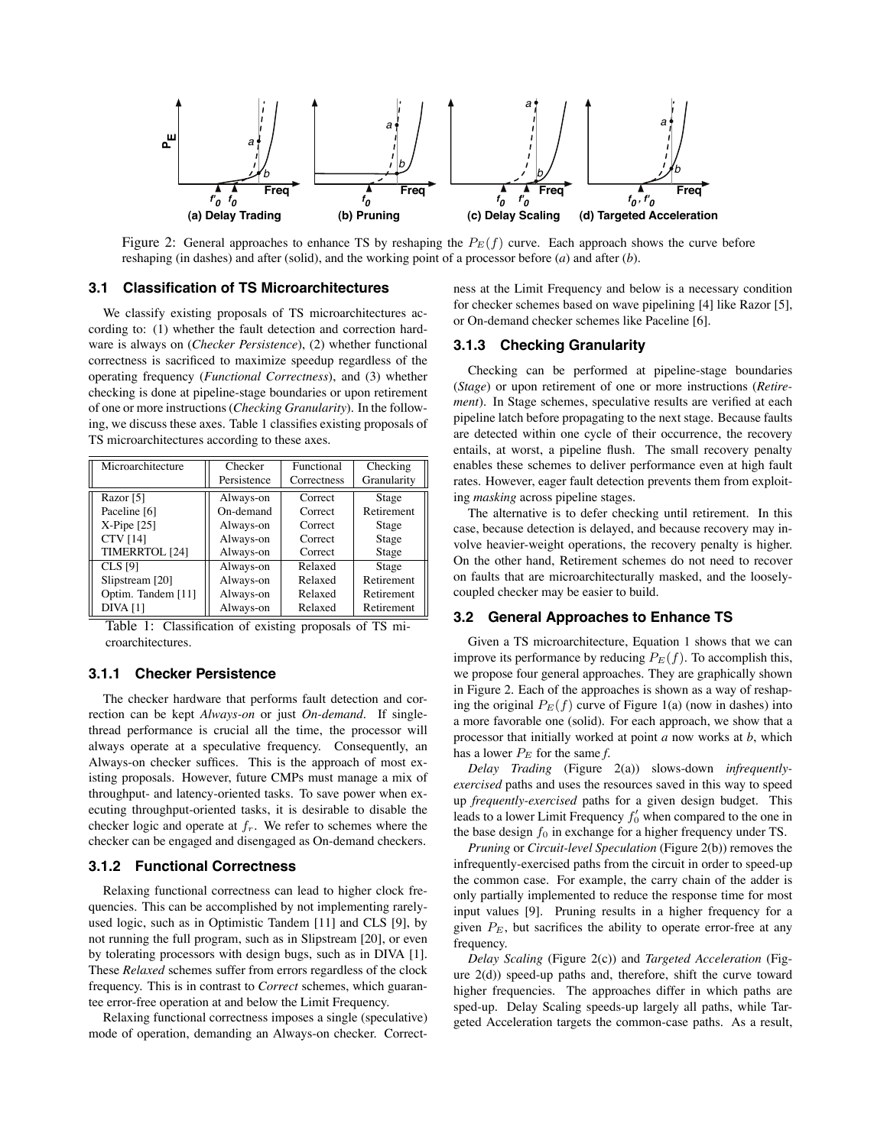

Figure 2: General approaches to enhance TS by reshaping the  $P_E(f)$  curve. Each approach shows the curve before reshaping (in dashes) and after (solid), and the working point of a processor before (*a*) and after (*b*).

### **3.1 Classification of TS Microarchitectures**

We classify existing proposals of TS microarchitectures according to: (1) whether the fault detection and correction hardware is always on (*Checker Persistence*), (2) whether functional correctness is sacrificed to maximize speedup regardless of the operating frequency (*Functional Correctness*), and (3) whether checking is done at pipeline-stage boundaries or upon retirement of one or more instructions (*Checking Granularity*). In the following, we discuss these axes. Table 1 classifies existing proposals of TS microarchitectures according to these axes.

| Microarchitecture  | Checker     | Functional  | Checking    |  |
|--------------------|-------------|-------------|-------------|--|
|                    | Persistence | Correctness | Granularity |  |
| Razor $[5]$        | Always-on   | Correct     | Stage       |  |
| Paceline [6]       | On-demand   | Correct     | Retirement  |  |
| $X-Pipe [25]$      | Always-on   | Correct     | Stage       |  |
| <b>CTV</b> [14]    | Always-on   | Correct     | Stage       |  |
| TIMERRTOL [24]     | Always-on   | Correct     | Stage       |  |
| <b>CLS</b> [9]     | Always-on   | Relaxed     | Stage       |  |
| Slipstream [20]    | Always-on   | Relaxed     | Retirement  |  |
| Optim. Tandem [11] | Always-on   | Relaxed     | Retirement  |  |
| DIVA [1]           | Always-on   | Relaxed     | Retirement  |  |

Table 1: Classification of existing proposals of TS microarchitectures.

#### **3.1.1 Checker Persistence**

The checker hardware that performs fault detection and correction can be kept *Always-on* or just *On-demand*. If singlethread performance is crucial all the time, the processor will always operate at a speculative frequency. Consequently, an Always-on checker suffices. This is the approach of most existing proposals. However, future CMPs must manage a mix of throughput- and latency-oriented tasks. To save power when executing throughput-oriented tasks, it is desirable to disable the checker logic and operate at  $f_r$ . We refer to schemes where the checker can be engaged and disengaged as On-demand checkers.

#### **3.1.2 Functional Correctness**

Relaxing functional correctness can lead to higher clock frequencies. This can be accomplished by not implementing rarelyused logic, such as in Optimistic Tandem [11] and CLS [9], by not running the full program, such as in Slipstream [20], or even by tolerating processors with design bugs, such as in DIVA [1]. These *Relaxed* schemes suffer from errors regardless of the clock frequency. This is in contrast to *Correct* schemes, which guarantee error-free operation at and below the Limit Frequency.

Relaxing functional correctness imposes a single (speculative) mode of operation, demanding an Always-on checker. Correctness at the Limit Frequency and below is a necessary condition for checker schemes based on wave pipelining [4] like Razor [5], or On-demand checker schemes like Paceline [6].

#### **3.1.3 Checking Granularity**

Checking can be performed at pipeline-stage boundaries (*Stage*) or upon retirement of one or more instructions (*Retirement*). In Stage schemes, speculative results are verified at each pipeline latch before propagating to the next stage. Because faults are detected within one cycle of their occurrence, the recovery entails, at worst, a pipeline flush. The small recovery penalty enables these schemes to deliver performance even at high fault rates. However, eager fault detection prevents them from exploiting *masking* across pipeline stages.

The alternative is to defer checking until retirement. In this case, because detection is delayed, and because recovery may involve heavier-weight operations, the recovery penalty is higher. On the other hand, Retirement schemes do not need to recover on faults that are microarchitecturally masked, and the looselycoupled checker may be easier to build.

#### **3.2 General Approaches to Enhance TS**

Given a TS microarchitecture, Equation 1 shows that we can improve its performance by reducing  $P_E(f)$ . To accomplish this, we propose four general approaches. They are graphically shown in Figure 2. Each of the approaches is shown as a way of reshaping the original  $P_E(f)$  curve of Figure 1(a) (now in dashes) into a more favorable one (solid). For each approach, we show that a processor that initially worked at point *a* now works at *b*, which has a lower  $P_E$  for the same *f*.

*Delay Trading* (Figure 2(a)) slows-down *infrequentlyexercised* paths and uses the resources saved in this way to speed up *frequently-exercised* paths for a given design budget. This leads to a lower Limit Frequency  $f_0'$  when compared to the one in the base design  $f_0$  in exchange for a higher frequency under TS.

*Pruning* or *Circuit-level Speculation* (Figure 2(b)) removes the infrequently-exercised paths from the circuit in order to speed-up the common case. For example, the carry chain of the adder is only partially implemented to reduce the response time for most input values [9]. Pruning results in a higher frequency for a given  $P_E$ , but sacrifices the ability to operate error-free at any frequency.

*Delay Scaling* (Figure 2(c)) and *Targeted Acceleration* (Figure 2(d)) speed-up paths and, therefore, shift the curve toward higher frequencies. The approaches differ in which paths are sped-up. Delay Scaling speeds-up largely all paths, while Targeted Acceleration targets the common-case paths. As a result,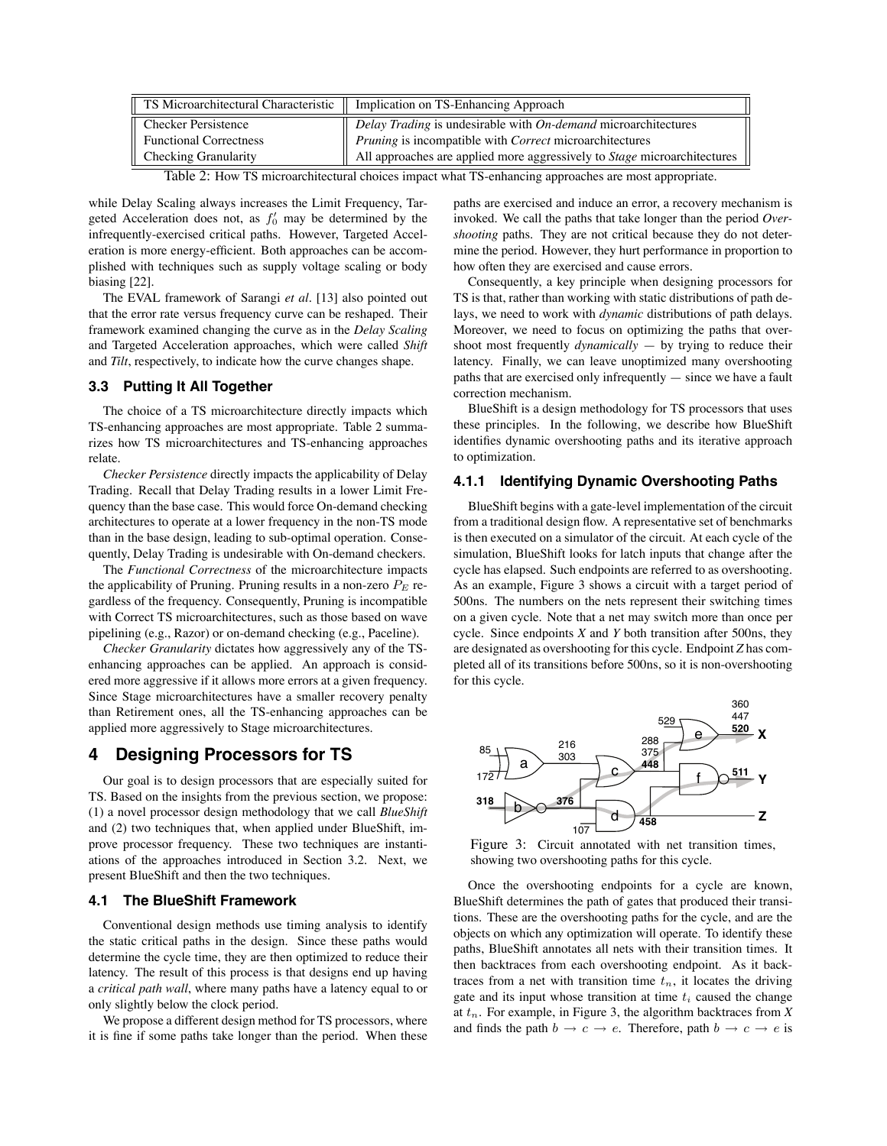| TS Microarchitectural Characteristic | Implication on TS-Enhancing Approach                                     |
|--------------------------------------|--------------------------------------------------------------------------|
| <b>Checker Persistence</b>           | Delay Trading is undesirable with On-demand microarchitectures           |
| <b>Functional Correctness</b>        | Pruning is incompatible with Correct microarchitectures                  |
| <b>Checking Granularity</b>          | All approaches are applied more aggressively to Stage microarchitectures |
|                                      |                                                                          |

Table 2: How TS microarchitectural choices impact what TS-enhancing approaches are most appropriate.

while Delay Scaling always increases the Limit Frequency, Targeted Acceleration does not, as  $f_0'$  may be determined by the infrequently-exercised critical paths. However, Targeted Acceleration is more energy-efficient. Both approaches can be accomplished with techniques such as supply voltage scaling or body biasing [22].

The EVAL framework of Sarangi *et al.* [13] also pointed out that the error rate versus frequency curve can be reshaped. Their framework examined changing the curve as in the *Delay Scaling* and Targeted Acceleration approaches, which were called *Shift* and *Tilt*, respectively, to indicate how the curve changes shape.

### **3.3 Putting It All Together**

The choice of a TS microarchitecture directly impacts which TS-enhancing approaches are most appropriate. Table 2 summarizes how TS microarchitectures and TS-enhancing approaches relate.

*Checker Persistence* directly impacts the applicability of Delay Trading. Recall that Delay Trading results in a lower Limit Frequency than the base case. This would force On-demand checking architectures to operate at a lower frequency in the non-TS mode than in the base design, leading to sub-optimal operation. Consequently, Delay Trading is undesirable with On-demand checkers.

The *Functional Correctness* of the microarchitecture impacts the applicability of Pruning. Pruning results in a non-zero  $P_E$  regardless of the frequency. Consequently, Pruning is incompatible with Correct TS microarchitectures, such as those based on wave pipelining (e.g., Razor) or on-demand checking (e.g., Paceline).

*Checker Granularity* dictates how aggressively any of the TSenhancing approaches can be applied. An approach is considered more aggressive if it allows more errors at a given frequency. Since Stage microarchitectures have a smaller recovery penalty than Retirement ones, all the TS-enhancing approaches can be applied more aggressively to Stage microarchitectures.

# **4 Designing Processors for TS**

Our goal is to design processors that are especially suited for TS. Based on the insights from the previous section, we propose: (1) a novel processor design methodology that we call *BlueShift* and (2) two techniques that, when applied under BlueShift, improve processor frequency. These two techniques are instantiations of the approaches introduced in Section 3.2. Next, we present BlueShift and then the two techniques.

#### **4.1 The BlueShift Framework**

Conventional design methods use timing analysis to identify the static critical paths in the design. Since these paths would determine the cycle time, they are then optimized to reduce their latency. The result of this process is that designs end up having a *critical path wall*, where many paths have a latency equal to or only slightly below the clock period.

We propose a different design method for TS processors, where it is fine if some paths take longer than the period. When these paths are exercised and induce an error, a recovery mechanism is invoked. We call the paths that take longer than the period *Overshooting* paths. They are not critical because they do not determine the period. However, they hurt performance in proportion to how often they are exercised and cause errors.

Consequently, a key principle when designing processors for TS is that, rather than working with static distributions of path delays, we need to work with *dynamic* distributions of path delays. Moreover, we need to focus on optimizing the paths that overshoot most frequently *dynamically* — by trying to reduce their latency. Finally, we can leave unoptimized many overshooting paths that are exercised only infrequently — since we have a fault correction mechanism.

BlueShift is a design methodology for TS processors that uses these principles. In the following, we describe how BlueShift identifies dynamic overshooting paths and its iterative approach to optimization.

### **4.1.1 Identifying Dynamic Overshooting Paths**

BlueShift begins with a gate-level implementation of the circuit from a traditional design flow. A representative set of benchmarks is then executed on a simulator of the circuit. At each cycle of the simulation, BlueShift looks for latch inputs that change after the cycle has elapsed. Such endpoints are referred to as overshooting. As an example, Figure 3 shows a circuit with a target period of 500ns. The numbers on the nets represent their switching times on a given cycle. Note that a net may switch more than once per cycle. Since endpoints *X* and *Y* both transition after 500ns, they are designated as overshooting for this cycle. Endpoint *Z* has completed all of its transitions before 500ns, so it is non-overshooting for this cycle.



Figure 3: Circuit annotated with net transition times, showing two overshooting paths for this cycle.

Once the overshooting endpoints for a cycle are known, BlueShift determines the path of gates that produced their transitions. These are the overshooting paths for the cycle, and are the objects on which any optimization will operate. To identify these paths, BlueShift annotates all nets with their transition times. It then backtraces from each overshooting endpoint. As it backtraces from a net with transition time  $t_n$ , it locates the driving gate and its input whose transition at time  $t_i$  caused the change at  $t_n$ . For example, in Figure 3, the algorithm backtraces from  $X$ and finds the path  $b \to c \to e$ . Therefore, path  $b \to c \to e$  is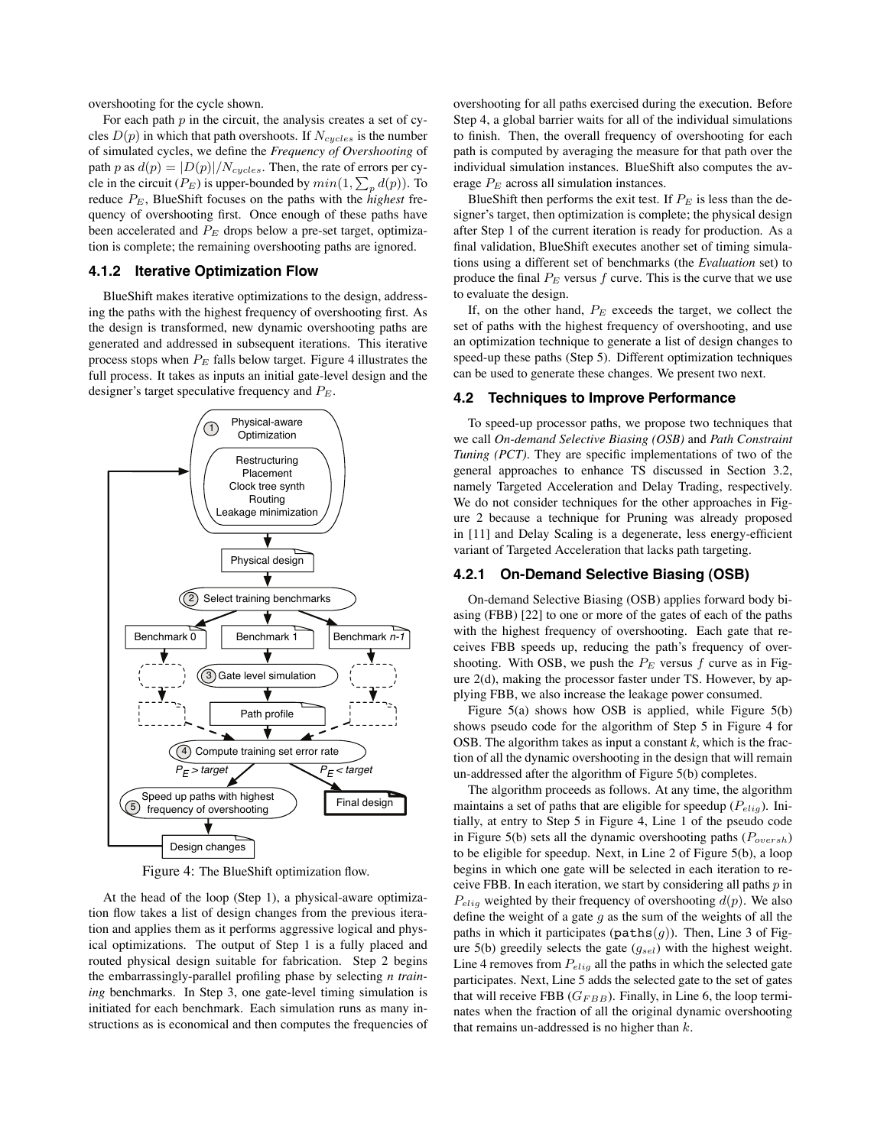overshooting for the cycle shown.

For each path  $p$  in the circuit, the analysis creates a set of cycles  $D(p)$  in which that path overshoots. If  $N_{cycles}$  is the number of simulated cycles, we define the *Frequency of Overshooting* of path p as  $d(p) = |D(p)|/N_{cycles}$ . Then, the rate of errors per cycle in the circuit  $(P_E)$  is upper-bounded by  $min(1, \sum_p d(p))$ . To reduce  $P_E$ , BlueShift focuses on the paths with the *highest* frequency of overshooting first. Once enough of these paths have been accelerated and  $P_E$  drops below a pre-set target, optimization is complete; the remaining overshooting paths are ignored.

### **4.1.2 Iterative Optimization Flow**

BlueShift makes iterative optimizations to the design, addressing the paths with the highest frequency of overshooting first. As the design is transformed, new dynamic overshooting paths are generated and addressed in subsequent iterations. This iterative process stops when  $P_E$  falls below target. Figure 4 illustrates the full process. It takes as inputs an initial gate-level design and the designer's target speculative frequency and  $P_E$ .



Figure 4: The BlueShift optimization flow.

At the head of the loop (Step 1), a physical-aware optimization flow takes a list of design changes from the previous iteration and applies them as it performs aggressive logical and physical optimizations. The output of Step 1 is a fully placed and routed physical design suitable for fabrication. Step 2 begins the embarrassingly-parallel profiling phase by selecting *n training* benchmarks. In Step 3, one gate-level timing simulation is initiated for each benchmark. Each simulation runs as many instructions as is economical and then computes the frequencies of overshooting for all paths exercised during the execution. Before Step 4, a global barrier waits for all of the individual simulations to finish. Then, the overall frequency of overshooting for each path is computed by averaging the measure for that path over the individual simulation instances. BlueShift also computes the average  $P_E$  across all simulation instances.

BlueShift then performs the exit test. If  $P_E$  is less than the designer's target, then optimization is complete; the physical design after Step 1 of the current iteration is ready for production. As a final validation, BlueShift executes another set of timing simulations using a different set of benchmarks (the *Evaluation* set) to produce the final  $P_E$  versus  $f$  curve. This is the curve that we use to evaluate the design.

If, on the other hand,  $P_E$  exceeds the target, we collect the set of paths with the highest frequency of overshooting, and use an optimization technique to generate a list of design changes to speed-up these paths (Step 5). Different optimization techniques can be used to generate these changes. We present two next.

#### **4.2 Techniques to Improve Performance**

To speed-up processor paths, we propose two techniques that we call *On-demand Selective Biasing (OSB)* and *Path Constraint Tuning (PCT)*. They are specific implementations of two of the general approaches to enhance TS discussed in Section 3.2, namely Targeted Acceleration and Delay Trading, respectively. We do not consider techniques for the other approaches in Figure 2 because a technique for Pruning was already proposed in [11] and Delay Scaling is a degenerate, less energy-efficient variant of Targeted Acceleration that lacks path targeting.

#### **4.2.1 On-Demand Selective Biasing (OSB)**

On-demand Selective Biasing (OSB) applies forward body biasing (FBB) [22] to one or more of the gates of each of the paths with the highest frequency of overshooting. Each gate that receives FBB speeds up, reducing the path's frequency of overshooting. With OSB, we push the  $P_E$  versus f curve as in Figure 2(d), making the processor faster under TS. However, by applying FBB, we also increase the leakage power consumed.

Figure 5(a) shows how OSB is applied, while Figure 5(b) shows pseudo code for the algorithm of Step 5 in Figure 4 for OSB. The algorithm takes as input a constant *k*, which is the fraction of all the dynamic overshooting in the design that will remain un-addressed after the algorithm of Figure 5(b) completes.

The algorithm proceeds as follows. At any time, the algorithm maintains a set of paths that are eligible for speedup ( $P_{eliq}$ ). Initially, at entry to Step 5 in Figure 4, Line 1 of the pseudo code in Figure 5(b) sets all the dynamic overshooting paths  $(P_{oversh})$ to be eligible for speedup. Next, in Line 2 of Figure 5(b), a loop begins in which one gate will be selected in each iteration to receive FBB. In each iteration, we start by considering all paths  $p$  in  $P_{eliq}$  weighted by their frequency of overshooting  $d(p)$ . We also define the weight of a gate  $q$  as the sum of the weights of all the paths in which it participates ( $paths(g)$ ). Then, Line 3 of Figure 5(b) greedily selects the gate  $(g_{sel})$  with the highest weight. Line 4 removes from  $P_{elig}$  all the paths in which the selected gate participates. Next, Line 5 adds the selected gate to the set of gates that will receive FBB  $(G_{FBB})$ . Finally, in Line 6, the loop terminates when the fraction of all the original dynamic overshooting that remains un-addressed is no higher than  $k$ .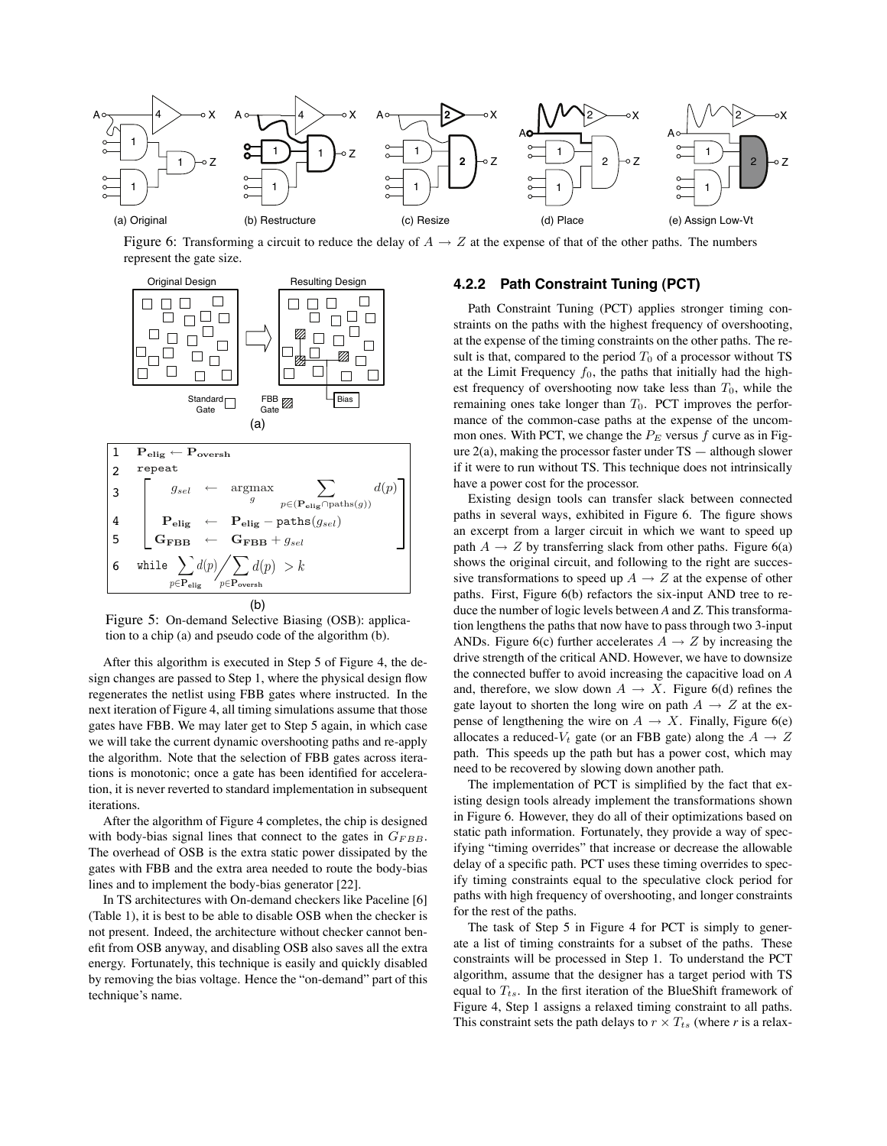

Figure 6: Transforming a circuit to reduce the delay of  $A \rightarrow Z$  at the expense of that of the other paths. The numbers represent the gate size.



(b) Figure 5: On-demand Selective Biasing (OSB): application to a chip (a) and pseudo code of the algorithm (b).

After this algorithm is executed in Step 5 of Figure 4, the design changes are passed to Step 1, where the physical design flow regenerates the netlist using FBB gates where instructed. In the next iteration of Figure 4, all timing simulations assume that those gates have FBB. We may later get to Step 5 again, in which case we will take the current dynamic overshooting paths and re-apply the algorithm. Note that the selection of FBB gates across iterations is monotonic; once a gate has been identified for acceleration, it is never reverted to standard implementation in subsequent iterations.

After the algorithm of Figure 4 completes, the chip is designed with body-bias signal lines that connect to the gates in  $G_{FBB}$ . The overhead of OSB is the extra static power dissipated by the gates with FBB and the extra area needed to route the body-bias lines and to implement the body-bias generator [22].

In TS architectures with On-demand checkers like Paceline [6] (Table 1), it is best to be able to disable OSB when the checker is not present. Indeed, the architecture without checker cannot benefit from OSB anyway, and disabling OSB also saves all the extra energy. Fortunately, this technique is easily and quickly disabled by removing the bias voltage. Hence the "on-demand" part of this technique's name.

## **4.2.2 Path Constraint Tuning (PCT)**

Path Constraint Tuning (PCT) applies stronger timing constraints on the paths with the highest frequency of overshooting, at the expense of the timing constraints on the other paths. The result is that, compared to the period  $T_0$  of a processor without TS at the Limit Frequency  $f_0$ , the paths that initially had the highest frequency of overshooting now take less than  $T_0$ , while the remaining ones take longer than  $T_0$ . PCT improves the performance of the common-case paths at the expense of the uncommon ones. With PCT, we change the  $P_E$  versus  $f$  curve as in Figure  $2(a)$ , making the processor faster under  $TS -$  although slower if it were to run without TS. This technique does not intrinsically have a power cost for the processor.

Existing design tools can transfer slack between connected paths in several ways, exhibited in Figure 6. The figure shows an excerpt from a larger circuit in which we want to speed up path  $A \rightarrow Z$  by transferring slack from other paths. Figure 6(a) shows the original circuit, and following to the right are successive transformations to speed up  $A \rightarrow Z$  at the expense of other paths. First, Figure 6(b) refactors the six-input AND tree to reduce the number of logic levels between *A* and *Z*. This transformation lengthens the paths that now have to pass through two 3-input ANDs. Figure 6(c) further accelerates  $A \rightarrow Z$  by increasing the drive strength of the critical AND. However, we have to downsize the connected buffer to avoid increasing the capacitive load on *A* and, therefore, we slow down  $A \rightarrow X$ . Figure 6(d) refines the gate layout to shorten the long wire on path  $A \rightarrow Z$  at the expense of lengthening the wire on  $A \to X$ . Finally, Figure 6(e) allocates a reduced- $V_t$  gate (or an FBB gate) along the  $A \rightarrow Z$ path. This speeds up the path but has a power cost, which may need to be recovered by slowing down another path.

The implementation of PCT is simplified by the fact that existing design tools already implement the transformations shown in Figure 6. However, they do all of their optimizations based on static path information. Fortunately, they provide a way of specifying "timing overrides" that increase or decrease the allowable delay of a specific path. PCT uses these timing overrides to specify timing constraints equal to the speculative clock period for paths with high frequency of overshooting, and longer constraints for the rest of the paths.

The task of Step 5 in Figure 4 for PCT is simply to generate a list of timing constraints for a subset of the paths. These constraints will be processed in Step 1. To understand the PCT algorithm, assume that the designer has a target period with TS equal to  $T_{ts}$ . In the first iteration of the BlueShift framework of Figure 4, Step 1 assigns a relaxed timing constraint to all paths. This constraint sets the path delays to  $r \times T_{ts}$  (where r is a relax-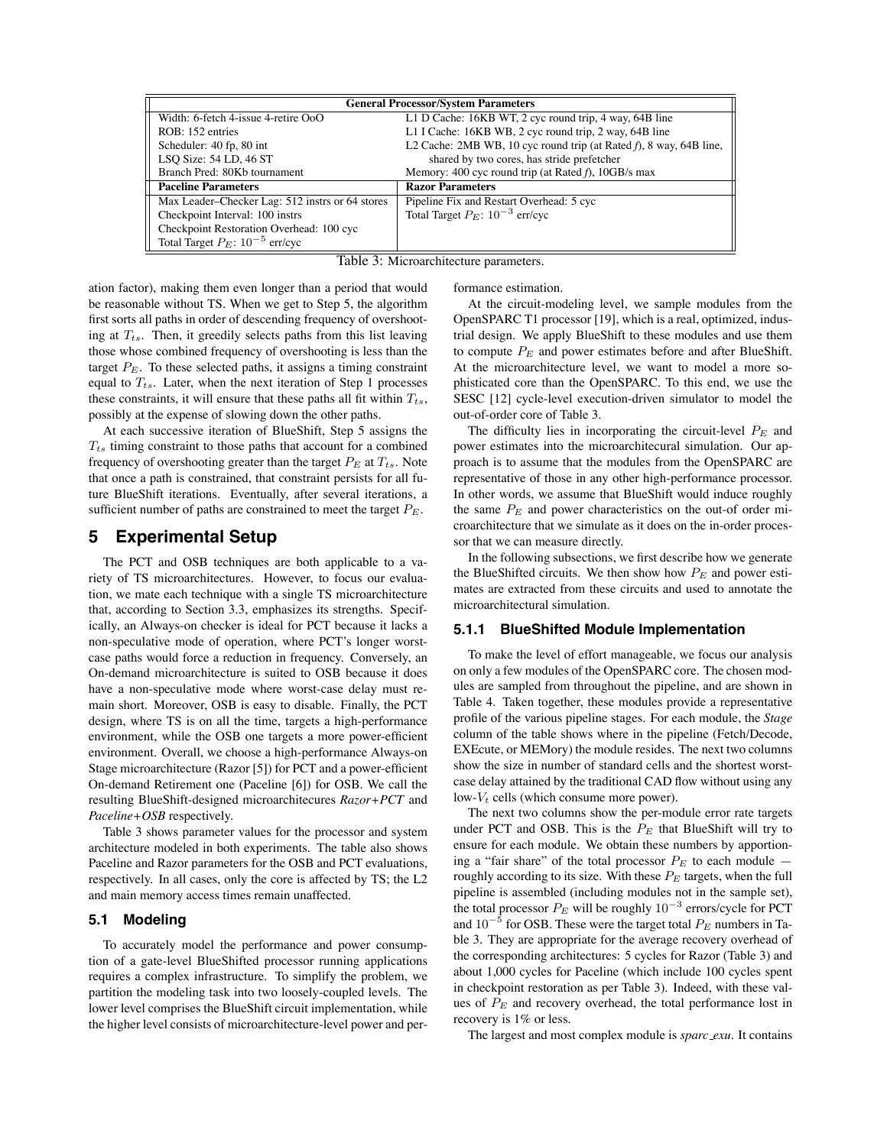| <b>General Processor/System Parameters</b>      |                                                                       |  |  |  |  |  |
|-------------------------------------------------|-----------------------------------------------------------------------|--|--|--|--|--|
| Width: 6-fetch 4-issue 4-retire OoO             | L1 D Cache: 16KB WT, 2 cyc round trip, 4 way, 64B line                |  |  |  |  |  |
| ROB: 152 entries                                | L1 I Cache: 16KB WB, 2 cyc round trip, 2 way, 64B line                |  |  |  |  |  |
| Scheduler: 40 fp, 80 int                        | L2 Cache: 2MB WB, 10 cyc round trip (at Rated $f$ ), 8 way, 64B line, |  |  |  |  |  |
| LSO Size: 54 LD, 46 ST                          | shared by two cores, has stride prefetcher                            |  |  |  |  |  |
| Branch Pred: 80Kb tournament                    | Memory: 400 cyc round trip (at Rated $f$ ), 10GB/s max                |  |  |  |  |  |
| <b>Paceline Parameters</b>                      | <b>Razor Parameters</b>                                               |  |  |  |  |  |
| Max Leader-Checker Lag: 512 instrs or 64 stores | Pipeline Fix and Restart Overhead: 5 cyc                              |  |  |  |  |  |
| Checkpoint Interval: 100 instrs                 | Total Target $P_E$ : 10 <sup>-3</sup> err/cyc                         |  |  |  |  |  |
| Checkpoint Restoration Overhead: 100 cyc        |                                                                       |  |  |  |  |  |
| Total Target $P_E$ : 10 <sup>-5</sup> err/cyc   |                                                                       |  |  |  |  |  |

|  | Table 3: Microarchitecture parameters |  |
|--|---------------------------------------|--|
|--|---------------------------------------|--|

ation factor), making them even longer than a period that would be reasonable without TS. When we get to Step 5, the algorithm first sorts all paths in order of descending frequency of overshooting at  $T_{ts}$ . Then, it greedily selects paths from this list leaving those whose combined frequency of overshooting is less than the target  $P_E$ . To these selected paths, it assigns a timing constraint equal to  $T_{ts}$ . Later, when the next iteration of Step 1 processes these constraints, it will ensure that these paths all fit within  $T_{ts}$ , possibly at the expense of slowing down the other paths.

At each successive iteration of BlueShift, Step 5 assigns the  $T_{ts}$  timing constraint to those paths that account for a combined frequency of overshooting greater than the target  $P_E$  at  $T_{ts}$ . Note that once a path is constrained, that constraint persists for all future BlueShift iterations. Eventually, after several iterations, a sufficient number of paths are constrained to meet the target  $P_E$ .

# **5 Experimental Setup**

The PCT and OSB techniques are both applicable to a variety of TS microarchitectures. However, to focus our evaluation, we mate each technique with a single TS microarchitecture that, according to Section 3.3, emphasizes its strengths. Specifically, an Always-on checker is ideal for PCT because it lacks a non-speculative mode of operation, where PCT's longer worstcase paths would force a reduction in frequency. Conversely, an On-demand microarchitecture is suited to OSB because it does have a non-speculative mode where worst-case delay must remain short. Moreover, OSB is easy to disable. Finally, the PCT design, where TS is on all the time, targets a high-performance environment, while the OSB one targets a more power-efficient environment. Overall, we choose a high-performance Always-on Stage microarchitecture (Razor [5]) for PCT and a power-efficient On-demand Retirement one (Paceline [6]) for OSB. We call the resulting BlueShift-designed microarchitecures *Razor+PCT* and *Paceline+OSB* respectively.

Table 3 shows parameter values for the processor and system architecture modeled in both experiments. The table also shows Paceline and Razor parameters for the OSB and PCT evaluations, respectively. In all cases, only the core is affected by TS; the L2 and main memory access times remain unaffected.

#### **5.1 Modeling**

To accurately model the performance and power consumption of a gate-level BlueShifted processor running applications requires a complex infrastructure. To simplify the problem, we partition the modeling task into two loosely-coupled levels. The lower level comprises the BlueShift circuit implementation, while the higher level consists of microarchitecture-level power and performance estimation.

At the circuit-modeling level, we sample modules from the OpenSPARC T1 processor [19], which is a real, optimized, industrial design. We apply BlueShift to these modules and use them to compute  $P_E$  and power estimates before and after BlueShift. At the microarchitecture level, we want to model a more sophisticated core than the OpenSPARC. To this end, we use the SESC [12] cycle-level execution-driven simulator to model the out-of-order core of Table 3.

The difficulty lies in incorporating the circuit-level  $P_E$  and power estimates into the microarchitecural simulation. Our approach is to assume that the modules from the OpenSPARC are representative of those in any other high-performance processor. In other words, we assume that BlueShift would induce roughly the same  $P_E$  and power characteristics on the out-of order microarchitecture that we simulate as it does on the in-order processor that we can measure directly.

In the following subsections, we first describe how we generate the BlueShifted circuits. We then show how  $P_E$  and power estimates are extracted from these circuits and used to annotate the microarchitectural simulation.

#### **5.1.1 BlueShifted Module Implementation**

To make the level of effort manageable, we focus our analysis on only a few modules of the OpenSPARC core. The chosen modules are sampled from throughout the pipeline, and are shown in Table 4. Taken together, these modules provide a representative profile of the various pipeline stages. For each module, the *Stage* column of the table shows where in the pipeline (Fetch/Decode, EXEcute, or MEMory) the module resides. The next two columns show the size in number of standard cells and the shortest worstcase delay attained by the traditional CAD flow without using any low- $V_t$  cells (which consume more power).

The next two columns show the per-module error rate targets under PCT and OSB. This is the  $P_E$  that BlueShift will try to ensure for each module. We obtain these numbers by apportioning a "fair share" of the total processor  $P_E$  to each module  $$ roughly according to its size. With these  $P_E$  targets, when the full pipeline is assembled (including modules not in the sample set), the total processor  $P_E$  will be roughly 10<sup>-3</sup> errors/cycle for PCT and  $10^{-5}$  for OSB. These were the target total  $P_E$  numbers in Table 3. They are appropriate for the average recovery overhead of the corresponding architectures: 5 cycles for Razor (Table 3) and about 1,000 cycles for Paceline (which include 100 cycles spent in checkpoint restoration as per Table 3). Indeed, with these values of  $P_E$  and recovery overhead, the total performance lost in recovery is 1% or less.

The largest and most complex module is *sparc exu*. It contains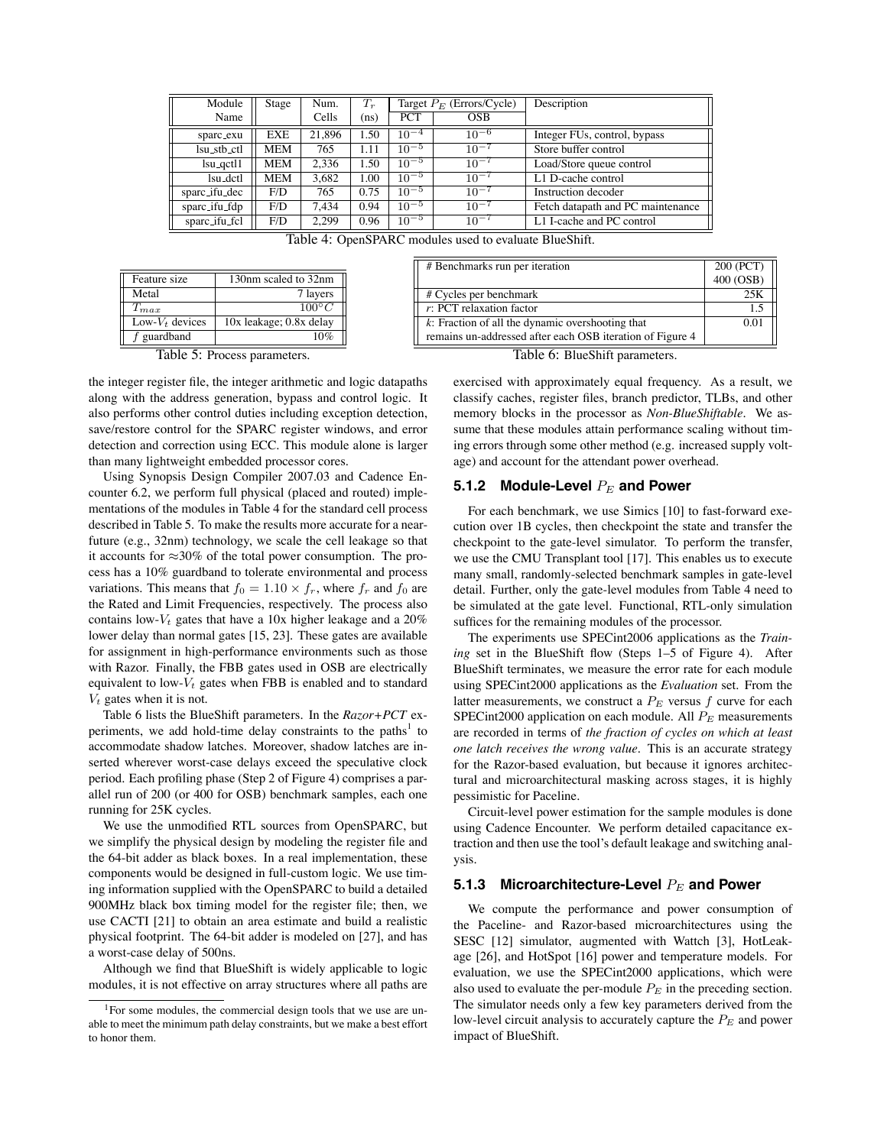| Module                        | Stage      | Num.   | $T_r$ | Target $P_E$ (Errors/Cycle) |            | Description                       |
|-------------------------------|------------|--------|-------|-----------------------------|------------|-----------------------------------|
| Name                          |            | Cells  | (ns)  | <b>PCT</b>                  | <b>OSB</b> |                                   |
| sparc_exu                     | <b>EXE</b> | 21.896 | 1.50  | $10^{-4}$                   | $10^{-6}$  | Integer FUs, control, bypass      |
| lsu_stb_ctl                   | <b>MEM</b> | 765    | 1.11  | $10^{-5}$                   | $10^{-7}$  | Store buffer control              |
| $l$ su <sub>-g</sub> ct $l$ 1 | MEM        | 2.336  | 1.50  | $10^{-5}$                   | $10^{-7}$  | Load/Store queue control          |
| lsu_dctl                      | MEM        | 3.682  | 1.00  | $10^{-5}$                   | $10^{-7}$  | L1 D-cache control                |
| sparc_ifu_dec                 | F/D        | 765    | 0.75  | $10^{-5}$                   | $10^{-7}$  | Instruction decoder               |
| sparc_ifu_fdp                 | F/D        | 7.434  | 0.94  | $10^{-5}$                   | $10^{-7}$  | Fetch datapath and PC maintenance |
| sparc_ifu_fcl                 | F/D        | 2.299  | 0.96  | $10^{-5}$                   | $10^{-7}$  | L1 I-cache and PC control         |

Table 4: OpenSPARC modules used to evaluate BlueShift.

| Feature size       | 130 <sub>nm</sub> scaled to 32 <sub>nm</sub> |
|--------------------|----------------------------------------------|
| Metal              | 7 layers                                     |
| $T_{max}$          | $100^{\circ}$ C                              |
| Low- $V_t$ devices | 10x leakage; 0.8x delay                      |
| f guardband        | 10%                                          |
|                    |                                              |

Table 5: Process parameters.

the integer register file, the integer arithmetic and logic datapaths along with the address generation, bypass and control logic. It also performs other control duties including exception detection, save/restore control for the SPARC register windows, and error detection and correction using ECC. This module alone is larger than many lightweight embedded processor cores.

Using Synopsis Design Compiler 2007.03 and Cadence Encounter 6.2, we perform full physical (placed and routed) implementations of the modules in Table 4 for the standard cell process described in Table 5. To make the results more accurate for a nearfuture (e.g., 32nm) technology, we scale the cell leakage so that it accounts for  $\approx$ 30% of the total power consumption. The process has a 10% guardband to tolerate environmental and process variations. This means that  $f_0 = 1.10 \times f_r$ , where  $f_r$  and  $f_0$  are the Rated and Limit Frequencies, respectively. The process also contains low- $V_t$  gates that have a 10x higher leakage and a 20% lower delay than normal gates [15, 23]. These gates are available for assignment in high-performance environments such as those with Razor. Finally, the FBB gates used in OSB are electrically equivalent to low- $V_t$  gates when FBB is enabled and to standard  $V_t$  gates when it is not.

Table 6 lists the BlueShift parameters. In the *Razor+PCT* experiments, we add hold-time delay constraints to the paths<sup>1</sup> to accommodate shadow latches. Moreover, shadow latches are inserted wherever worst-case delays exceed the speculative clock period. Each profiling phase (Step 2 of Figure 4) comprises a parallel run of 200 (or 400 for OSB) benchmark samples, each one running for 25K cycles.

We use the unmodified RTL sources from OpenSPARC, but we simplify the physical design by modeling the register file and the 64-bit adder as black boxes. In a real implementation, these components would be designed in full-custom logic. We use timing information supplied with the OpenSPARC to build a detailed 900MHz black box timing model for the register file; then, we use CACTI [21] to obtain an area estimate and build a realistic physical footprint. The 64-bit adder is modeled on [27], and has a worst-case delay of 500ns.

Although we find that BlueShift is widely applicable to logic modules, it is not effective on array structures where all paths are

| # Benchmarks run per iteration                            | 200 (PCT)<br>400 (OSB) |
|-----------------------------------------------------------|------------------------|
|                                                           |                        |
| # Cycles per benchmark                                    | 25K                    |
| $r$ : PCT relaxation factor                               | L.                     |
| $k$ : Fraction of all the dynamic overshooting that       | 0.01                   |
| remains un-addressed after each OSB iteration of Figure 4 |                        |

Table 6: BlueShift parameters.

exercised with approximately equal frequency. As a result, we classify caches, register files, branch predictor, TLBs, and other memory blocks in the processor as *Non-BlueShiftable*. We assume that these modules attain performance scaling without timing errors through some other method (e.g. increased supply voltage) and account for the attendant power overhead.

#### **5.1.2 Module-Level**  $P_E$  and Power

For each benchmark, we use Simics [10] to fast-forward execution over 1B cycles, then checkpoint the state and transfer the checkpoint to the gate-level simulator. To perform the transfer, we use the CMU Transplant tool [17]. This enables us to execute many small, randomly-selected benchmark samples in gate-level detail. Further, only the gate-level modules from Table 4 need to be simulated at the gate level. Functional, RTL-only simulation suffices for the remaining modules of the processor.

The experiments use SPECint2006 applications as the *Training* set in the BlueShift flow (Steps 1–5 of Figure 4). After BlueShift terminates, we measure the error rate for each module using SPECint2000 applications as the *Evaluation* set. From the latter measurements, we construct a  $P_E$  versus  $f$  curve for each SPECint2000 application on each module. All  $P_E$  measurements are recorded in terms of *the fraction of cycles on which at least one latch receives the wrong value*. This is an accurate strategy for the Razor-based evaluation, but because it ignores architectural and microarchitectural masking across stages, it is highly pessimistic for Paceline.

Circuit-level power estimation for the sample modules is done using Cadence Encounter. We perform detailed capacitance extraction and then use the tool's default leakage and switching analysis.

#### **5.1.3 Microarchitecture-Level**  $P_E$  and Power

We compute the performance and power consumption of the Paceline- and Razor-based microarchitectures using the SESC [12] simulator, augmented with Wattch [3], HotLeakage [26], and HotSpot [16] power and temperature models. For evaluation, we use the SPECint2000 applications, which were also used to evaluate the per-module  $P_E$  in the preceding section. The simulator needs only a few key parameters derived from the low-level circuit analysis to accurately capture the  $P_E$  and power impact of BlueShift.

<sup>&</sup>lt;sup>1</sup>For some modules, the commercial design tools that we use are unable to meet the minimum path delay constraints, but we make a best effort to honor them.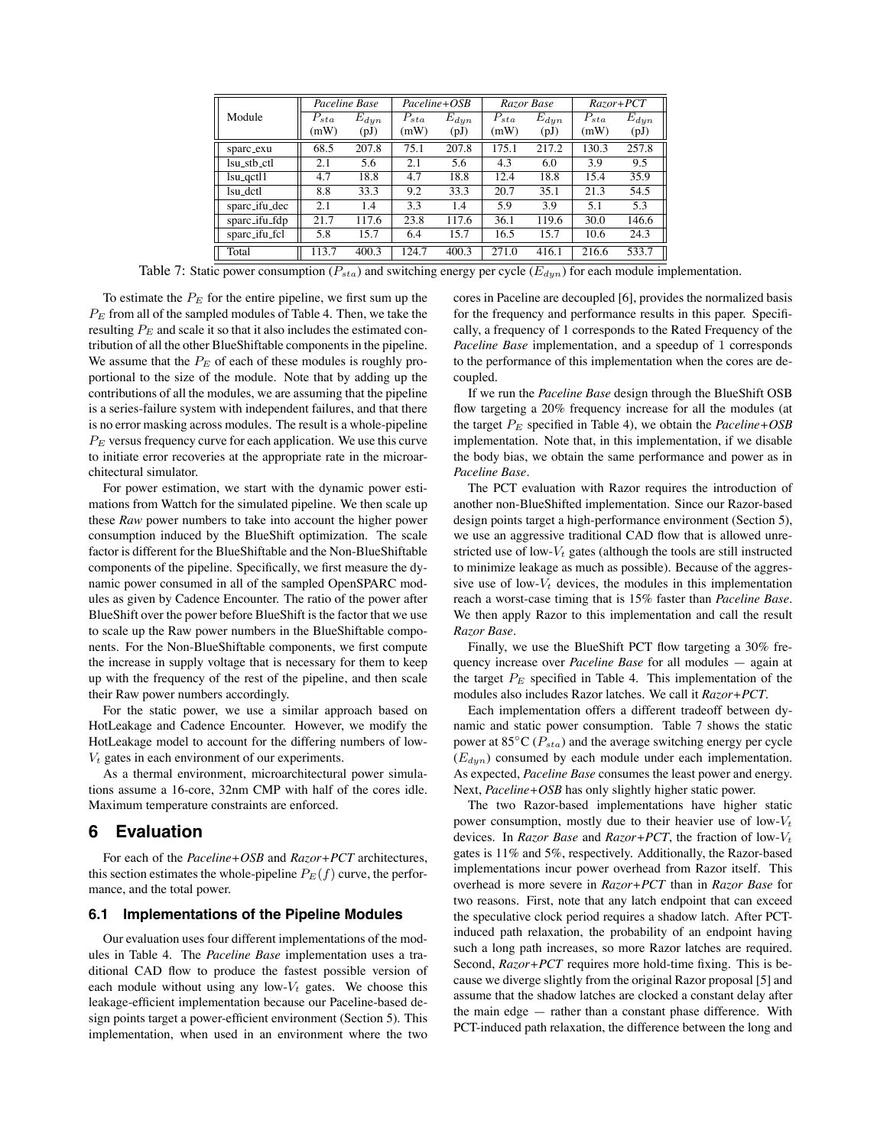|               | Paceline Base     |                   | Paceline+OSB      |                         | Razor Base        |                   | Razor+PCT         |                         |
|---------------|-------------------|-------------------|-------------------|-------------------------|-------------------|-------------------|-------------------|-------------------------|
| Module        | $P_{sta}$<br>(mW) | $E_{dyn}$<br>(pJ) | $P_{sta}$<br>(mW) | $\bar{E}_{dyn}$<br>(pJ) | $P_{sta}$<br>(mW) | $E_{dyn}$<br>(pJ) | $P_{sta}$<br>(mW) | $\bar{E}_{dyn}$<br>(pJ) |
| sparc_exu     | 68.5              | 207.8             | 75.1              | 207.8                   | 175.1             | 217.2             | 130.3             | 257.8                   |
| lsu_stb_ctl   | 2.1               | 5.6               | 2.1               | 5.6                     | 4.3               | 6.0               | 3.9               | 9.5                     |
| $lsu_qct11$   | 4.7               | 18.8              | 4.7               | 18.8                    | 12.4              | 18.8              | 15.4              | 35.9                    |
| lsu_detl      | 8.8               | 33.3              | 9.2               | 33.3                    | 20.7              | 35.1              | 21.3              | 54.5                    |
| sparc_ifu_dec | 2.1               | 1.4               | 3.3               | 1.4                     | 5.9               | 3.9               | 5.1               | 5.3                     |
| sparc_ifu_fdp | 21.7              | 117.6             | 23.8              | 117.6                   | 36.1              | 119.6             | 30.0              | 146.6                   |
| sparc_ifu_fcl | 5.8               | 15.7              | 6.4               | 15.7                    | 16.5              | 15.7              | 10.6              | 24.3                    |
| Total         | 113.7             | 400.3             | 124.7             | 400.3                   | 271.0             | 416.1             | 216.6             | 533.7                   |

Table 7: Static power consumption ( $P_{sta}$ ) and switching energy per cycle ( $E_{dyn}$ ) for each module implementation.

To estimate the  $P_E$  for the entire pipeline, we first sum up the  $P_E$  from all of the sampled modules of Table 4. Then, we take the resulting  $P_E$  and scale it so that it also includes the estimated contribution of all the other BlueShiftable components in the pipeline. We assume that the  $P_E$  of each of these modules is roughly proportional to the size of the module. Note that by adding up the contributions of all the modules, we are assuming that the pipeline is a series-failure system with independent failures, and that there is no error masking across modules. The result is a whole-pipeline  $P<sub>E</sub>$  versus frequency curve for each application. We use this curve to initiate error recoveries at the appropriate rate in the microarchitectural simulator.

For power estimation, we start with the dynamic power estimations from Wattch for the simulated pipeline. We then scale up these *Raw* power numbers to take into account the higher power consumption induced by the BlueShift optimization. The scale factor is different for the BlueShiftable and the Non-BlueShiftable components of the pipeline. Specifically, we first measure the dynamic power consumed in all of the sampled OpenSPARC modules as given by Cadence Encounter. The ratio of the power after BlueShift over the power before BlueShift is the factor that we use to scale up the Raw power numbers in the BlueShiftable components. For the Non-BlueShiftable components, we first compute the increase in supply voltage that is necessary for them to keep up with the frequency of the rest of the pipeline, and then scale their Raw power numbers accordingly.

For the static power, we use a similar approach based on HotLeakage and Cadence Encounter. However, we modify the HotLeakage model to account for the differing numbers of low- $V_t$  gates in each environment of our experiments.

As a thermal environment, microarchitectural power simulations assume a 16-core, 32nm CMP with half of the cores idle. Maximum temperature constraints are enforced.

# **6 Evaluation**

For each of the *Paceline+OSB* and *Razor+PCT* architectures, this section estimates the whole-pipeline  $P_E(f)$  curve, the performance, and the total power.

#### **6.1 Implementations of the Pipeline Modules**

Our evaluation uses four different implementations of the modules in Table 4. The *Paceline Base* implementation uses a traditional CAD flow to produce the fastest possible version of each module without using any low- $V_t$  gates. We choose this leakage-efficient implementation because our Paceline-based design points target a power-efficient environment (Section 5). This implementation, when used in an environment where the two cores in Paceline are decoupled [6], provides the normalized basis for the frequency and performance results in this paper. Specifically, a frequency of 1 corresponds to the Rated Frequency of the *Paceline Base* implementation, and a speedup of 1 corresponds to the performance of this implementation when the cores are decoupled.

If we run the *Paceline Base* design through the BlueShift OSB flow targeting a 20% frequency increase for all the modules (at the target  $P_E$  specified in Table 4), we obtain the  $Paceline+OSB$ implementation. Note that, in this implementation, if we disable the body bias, we obtain the same performance and power as in *Paceline Base*.

The PCT evaluation with Razor requires the introduction of another non-BlueShifted implementation. Since our Razor-based design points target a high-performance environment (Section 5), we use an aggressive traditional CAD flow that is allowed unrestricted use of low- $V_t$  gates (although the tools are still instructed to minimize leakage as much as possible). Because of the aggressive use of low- $V_t$  devices, the modules in this implementation reach a worst-case timing that is 15% faster than *Paceline Base*. We then apply Razor to this implementation and call the result *Razor Base*.

Finally, we use the BlueShift PCT flow targeting a 30% frequency increase over *Paceline Base* for all modules — again at the target  $P_E$  specified in Table 4. This implementation of the modules also includes Razor latches. We call it *Razor+PCT*.

Each implementation offers a different tradeoff between dynamic and static power consumption. Table 7 shows the static power at  $85^{\circ}$ C ( $P_{sta}$ ) and the average switching energy per cycle  $(E_{dyn})$  consumed by each module under each implementation. As expected, *Paceline Base* consumes the least power and energy. Next, *Paceline+OSB* has only slightly higher static power.

The two Razor-based implementations have higher static power consumption, mostly due to their heavier use of low- $V_t$ devices. In *Razor Base* and *Razor+PCT*, the fraction of low-Vt gates is 11% and 5%, respectively. Additionally, the Razor-based implementations incur power overhead from Razor itself. This overhead is more severe in *Razor+PCT* than in *Razor Base* for two reasons. First, note that any latch endpoint that can exceed the speculative clock period requires a shadow latch. After PCTinduced path relaxation, the probability of an endpoint having such a long path increases, so more Razor latches are required. Second, *Razor+PCT* requires more hold-time fixing. This is because we diverge slightly from the original Razor proposal [5] and assume that the shadow latches are clocked a constant delay after the main edge — rather than a constant phase difference. With PCT-induced path relaxation, the difference between the long and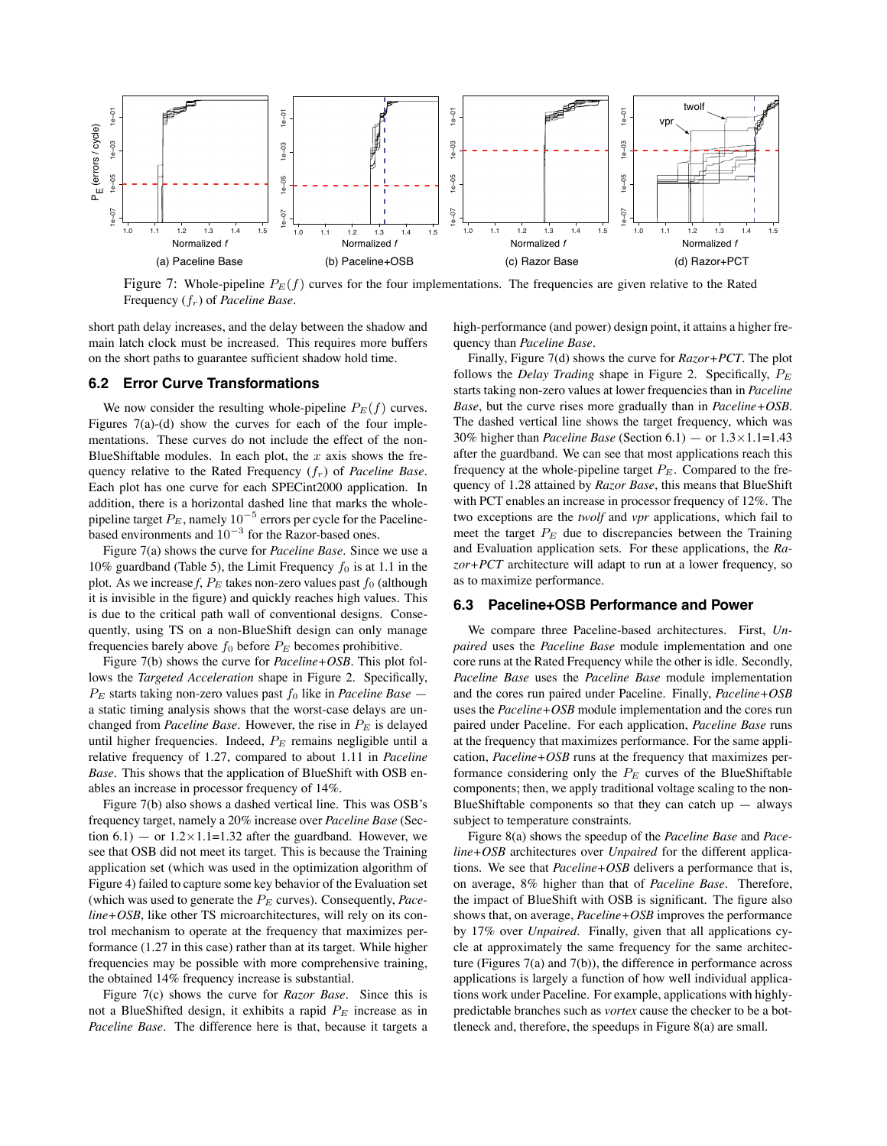

Figure 7: Whole-pipeline  $P_E(f)$  curves for the four implementations. The frequencies are given relative to the Rated Frequency (fr) of *Paceline Base*.

short path delay increases, and the delay between the shadow and main latch clock must be increased. This requires more buffers on the short paths to guarantee sufficient shadow hold time.

#### **6.2 Error Curve Transformations**

We now consider the resulting whole-pipeline  $P_E(f)$  curves. Figures  $7(a)-(d)$  show the curves for each of the four implementations. These curves do not include the effect of the non-BlueShiftable modules. In each plot, the  $x$  axis shows the frequency relative to the Rated Frequency  $(f_r)$  of *Paceline Base*. Each plot has one curve for each SPECint2000 application. In addition, there is a horizontal dashed line that marks the wholepipeline target  $P_E$ , namely  $10^{-5}$  errors per cycle for the Pacelinebased environments and  $10^{-3}$  for the Razor-based ones.

Figure 7(a) shows the curve for *Paceline Base*. Since we use a 10% guardband (Table 5), the Limit Frequency  $f_0$  is at 1.1 in the plot. As we increase  $f, P_E$  takes non-zero values past  $f_0$  (although it is invisible in the figure) and quickly reaches high values. This is due to the critical path wall of conventional designs. Consequently, using TS on a non-BlueShift design can only manage frequencies barely above  $f_0$  before  $P_E$  becomes prohibitive.

Figure 7(b) shows the curve for *Paceline+OSB*. This plot follows the *Targeted Acceleration* shape in Figure 2. Specifically,  $P_E$  starts taking non-zero values past  $f_0$  like in *Paceline Base* a static timing analysis shows that the worst-case delays are unchanged from *Paceline Base*. However, the rise in  $P_E$  is delayed until higher frequencies. Indeed,  $P_E$  remains negligible until a relative frequency of 1.27, compared to about 1.11 in *Paceline Base*. This shows that the application of BlueShift with OSB enables an increase in processor frequency of 14%.

Figure 7(b) also shows a dashed vertical line. This was OSB's frequency target, namely a 20% increase over *Paceline Base* (Section  $6.1$ ) — or  $1.2 \times 1.1 = 1.32$  after the guardband. However, we see that OSB did not meet its target. This is because the Training application set (which was used in the optimization algorithm of Figure 4) failed to capture some key behavior of the Evaluation set (which was used to generate the  $P_E$  curves). Consequently,  $Pace$ *line+OSB*, like other TS microarchitectures, will rely on its control mechanism to operate at the frequency that maximizes performance (1.27 in this case) rather than at its target. While higher frequencies may be possible with more comprehensive training, the obtained 14% frequency increase is substantial.

Figure 7(c) shows the curve for *Razor Base*. Since this is not a BlueShifted design, it exhibits a rapid  $P_E$  increase as in *Paceline Base*. The difference here is that, because it targets a

high-performance (and power) design point, it attains a higher frequency than *Paceline Base*.

Finally, Figure 7(d) shows the curve for *Razor+PCT*. The plot follows the *Delay Trading* shape in Figure 2. Specifically,  $P_E$ starts taking non-zero values at lower frequencies than in *Paceline Base*, but the curve rises more gradually than in *Paceline+OSB*. The dashed vertical line shows the target frequency, which was 30% higher than *Paceline Base* (Section 6.1) — or 1.3×1.1=1.43 after the guardband. We can see that most applications reach this frequency at the whole-pipeline target  $P_E$ . Compared to the frequency of 1.28 attained by *Razor Base*, this means that BlueShift with PCT enables an increase in processor frequency of 12%. The two exceptions are the *twolf* and *vpr* applications, which fail to meet the target  $P_E$  due to discrepancies between the Training and Evaluation application sets. For these applications, the *Razor+PCT* architecture will adapt to run at a lower frequency, so as to maximize performance.

### **6.3 Paceline+OSB Performance and Power**

We compare three Paceline-based architectures. First, *Unpaired* uses the *Paceline Base* module implementation and one core runs at the Rated Frequency while the other is idle. Secondly, *Paceline Base* uses the *Paceline Base* module implementation and the cores run paired under Paceline. Finally, *Paceline+OSB* uses the *Paceline+OSB* module implementation and the cores run paired under Paceline. For each application, *Paceline Base* runs at the frequency that maximizes performance. For the same application, *Paceline+OSB* runs at the frequency that maximizes performance considering only the  $P_E$  curves of the BlueShiftable components; then, we apply traditional voltage scaling to the non-BlueShiftable components so that they can catch  $up$  – always subject to temperature constraints.

Figure 8(a) shows the speedup of the *Paceline Base* and *Paceline+OSB* architectures over *Unpaired* for the different applications. We see that *Paceline+OSB* delivers a performance that is, on average, 8% higher than that of *Paceline Base*. Therefore, the impact of BlueShift with OSB is significant. The figure also shows that, on average, *Paceline+OSB* improves the performance by 17% over *Unpaired*. Finally, given that all applications cycle at approximately the same frequency for the same architecture (Figures 7(a) and 7(b)), the difference in performance across applications is largely a function of how well individual applications work under Paceline. For example, applications with highlypredictable branches such as *vortex* cause the checker to be a bottleneck and, therefore, the speedups in Figure 8(a) are small.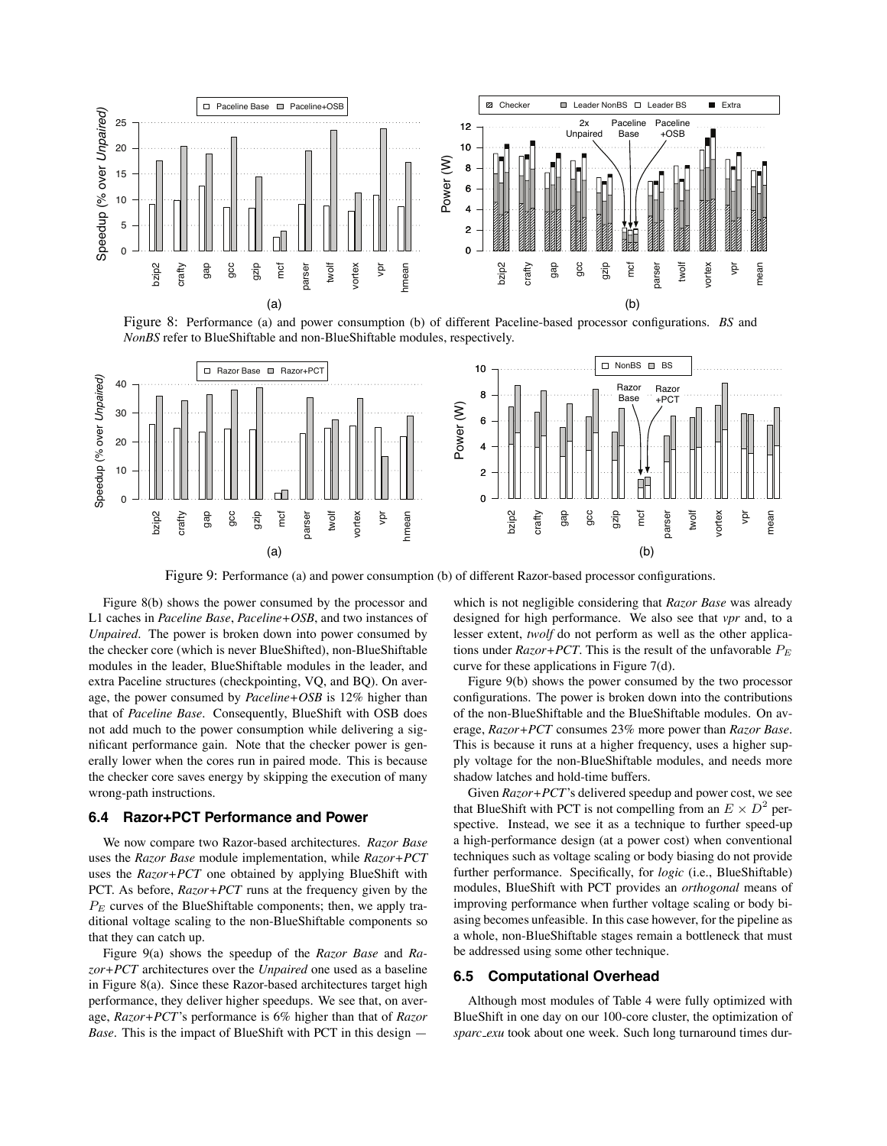

Figure 8: Performance (a) and power consumption (b) of different Paceline-based processor configurations. *BS* and *NonBS* refer to BlueShiftable and non-BlueShiftable modules, respectively.



Figure 9: Performance (a) and power consumption (b) of different Razor-based processor configurations.

Figure 8(b) shows the power consumed by the processor and L1 caches in *Paceline Base*, *Paceline+OSB*, and two instances of *Unpaired*. The power is broken down into power consumed by the checker core (which is never BlueShifted), non-BlueShiftable modules in the leader, BlueShiftable modules in the leader, and extra Paceline structures (checkpointing, VQ, and BQ). On average, the power consumed by *Paceline+OSB* is 12% higher than that of *Paceline Base*. Consequently, BlueShift with OSB does not add much to the power consumption while delivering a significant performance gain. Note that the checker power is generally lower when the cores run in paired mode. This is because the checker core saves energy by skipping the execution of many wrong-path instructions.

#### **6.4 Razor+PCT Performance and Power**

We now compare two Razor-based architectures. *Razor Base* uses the *Razor Base* module implementation, while *Razor+PCT* uses the *Razor+PCT* one obtained by applying BlueShift with PCT. As before, *Razor+PCT* runs at the frequency given by the  $P<sub>E</sub>$  curves of the BlueShiftable components; then, we apply traditional voltage scaling to the non-BlueShiftable components so that they can catch up.

Figure 9(a) shows the speedup of the *Razor Base* and *Razor+PCT* architectures over the *Unpaired* one used as a baseline in Figure 8(a). Since these Razor-based architectures target high performance, they deliver higher speedups. We see that, on average, *Razor+PCT*'s performance is 6% higher than that of *Razor Base*. This is the impact of BlueShift with PCT in this design —

which is not negligible considering that *Razor Base* was already designed for high performance. We also see that *vpr* and, to a lesser extent, *twolf* do not perform as well as the other applications under  $Razor+PCT$ . This is the result of the unfavorable  $P_E$ curve for these applications in Figure 7(d).

Figure 9(b) shows the power consumed by the two processor configurations. The power is broken down into the contributions of the non-BlueShiftable and the BlueShiftable modules. On average, *Razor+PCT* consumes 23% more power than *Razor Base*. This is because it runs at a higher frequency, uses a higher supply voltage for the non-BlueShiftable modules, and needs more shadow latches and hold-time buffers.

Given *Razor+PCT*'s delivered speedup and power cost, we see that BlueShift with PCT is not compelling from an  $E \times D^2$  perspective. Instead, we see it as a technique to further speed-up a high-performance design (at a power cost) when conventional techniques such as voltage scaling or body biasing do not provide further performance. Specifically, for *logic* (i.e., BlueShiftable) modules, BlueShift with PCT provides an *orthogonal* means of improving performance when further voltage scaling or body biasing becomes unfeasible. In this case however, for the pipeline as a whole, non-BlueShiftable stages remain a bottleneck that must be addressed using some other technique.

#### **6.5 Computational Overhead**

Although most modules of Table 4 were fully optimized with BlueShift in one day on our 100-core cluster, the optimization of *sparc exu* took about one week. Such long turnaround times dur